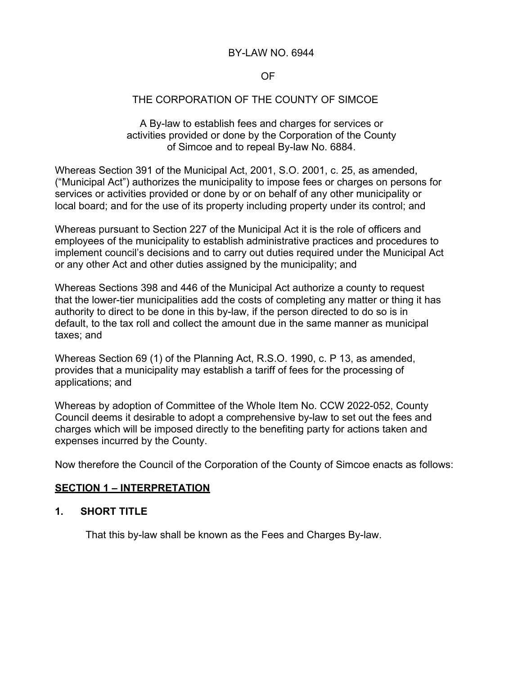#### BY-LAW NO. 6944

## OF

## THE CORPORATION OF THE COUNTY OF SIMCOE

A By-law to establish fees and charges for services or activities provided or done by the Corporation of the County of Simcoe and to repeal By-law No. 6884.

Whereas Section 391 of the Municipal Act, 2001, S.O. 2001, c. 25, as amended, ("Municipal Act") authorizes the municipality to impose fees or charges on persons for services or activities provided or done by or on behalf of any other municipality or local board; and for the use of its property including property under its control; and

Whereas pursuant to Section 227 of the Municipal Act it is the role of officers and employees of the municipality to establish administrative practices and procedures to implement council's decisions and to carry out duties required under the Municipal Act or any other Act and other duties assigned by the municipality; and

Whereas Sections 398 and 446 of the Municipal Act authorize a county to request that the lower-tier municipalities add the costs of completing any matter or thing it has authority to direct to be done in this by-law, if the person directed to do so is in default, to the tax roll and collect the amount due in the same manner as municipal taxes; and

Whereas Section 69 (1) of the Planning Act, R.S.O. 1990, c. P 13, as amended, provides that a municipality may establish a tariff of fees for the processing of applications; and

Whereas by adoption of Committee of the Whole Item No. CCW 2022-052, County Council deems it desirable to adopt a comprehensive by-law to set out the fees and charges which will be imposed directly to the benefiting party for actions taken and expenses incurred by the County.

Now therefore the Council of the Corporation of the County of Simcoe enacts as follows:

#### **SECTION 1 – INTERPRETATION**

## **1. SHORT TITLE**

That this by-law shall be known as the Fees and Charges By-law.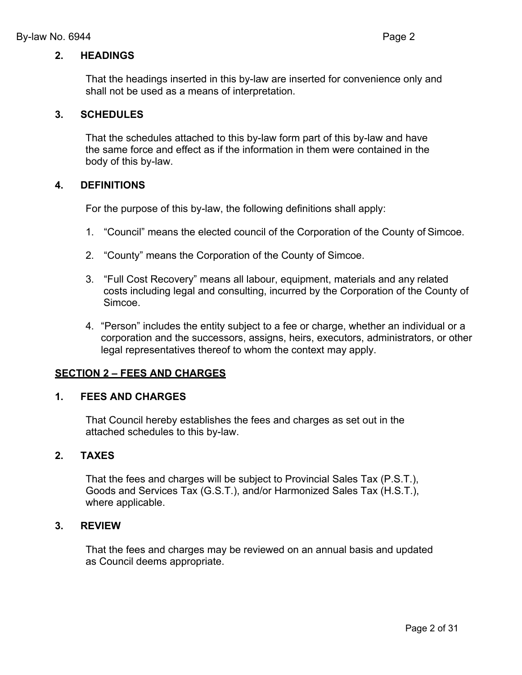## **2. HEADINGS**

That the headings inserted in this by-law are inserted for convenience only and shall not be used as a means of interpretation.

## **3. SCHEDULES**

That the schedules attached to this by-law form part of this by-law and have the same force and effect as if the information in them were contained in the body of this by-law.

#### **4. DEFINITIONS**

For the purpose of this by-law, the following definitions shall apply:

- 1. "Council" means the elected council of the Corporation of the County of Simcoe.
- 2. "County" means the Corporation of the County of Simcoe.
- 3. "Full Cost Recovery" means all labour, equipment, materials and any related costs including legal and consulting, incurred by the Corporation of the County of Simcoe.
- 4. "Person" includes the entity subject to a fee or charge, whether an individual or a corporation and the successors, assigns, heirs, executors, administrators, or other legal representatives thereof to whom the context may apply.

## **SECTION 2 – FEES AND CHARGES**

#### **1. FEES AND CHARGES**

That Council hereby establishes the fees and charges as set out in the attached schedules to this by-law.

## **2. TAXES**

That the fees and charges will be subject to Provincial Sales Tax (P.S.T.), Goods and Services Tax (G.S.T.), and/or Harmonized Sales Tax (H.S.T.), where applicable.

#### **3. REVIEW**

That the fees and charges may be reviewed on an annual basis and updated as Council deems appropriate.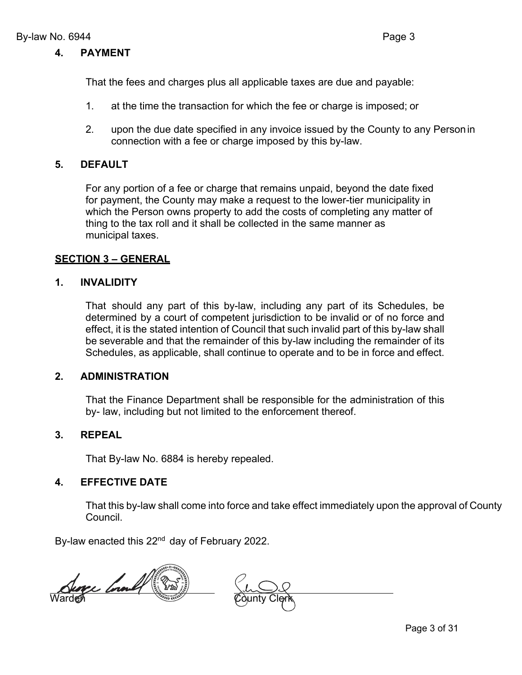That the fees and charges plus all applicable taxes are due and payable:

- 1. at the time the transaction for which the fee or charge is imposed; or
- 2. upon the due date specified in any invoice issued by the County to any Personin connection with a fee or charge imposed by this by-law.

## **5. DEFAULT**

For any portion of a fee or charge that remains unpaid, beyond the date fixed for payment, the County may make a request to the lower-tier municipality in which the Person owns property to add the costs of completing any matter of thing to the tax roll and it shall be collected in the same manner as municipal taxes.

## **SECTION 3 – GENERAL**

## **1. INVALIDITY**

That should any part of this by-law, including any part of its Schedules, be determined by a court of competent jurisdiction to be invalid or of no force and effect, it is the stated intention of Council that such invalid part of this by-law shall be severable and that the remainder of this by-law including the remainder of its Schedules, as applicable, shall continue to operate and to be in force and effect.

## **2. ADMINISTRATION**

That the Finance Department shall be responsible for the administration of this by- law, including but not limited to the enforcement thereof.

## **3. REPEAL**

That By-law No. 6884 is hereby repealed.

## **4. EFFECTIVE DATE**

That this by-law shall come into force and take effect immediately upon the approval of County Council.

By-law enacted this 22<sup>nd</sup> day of February 2022.

Surge County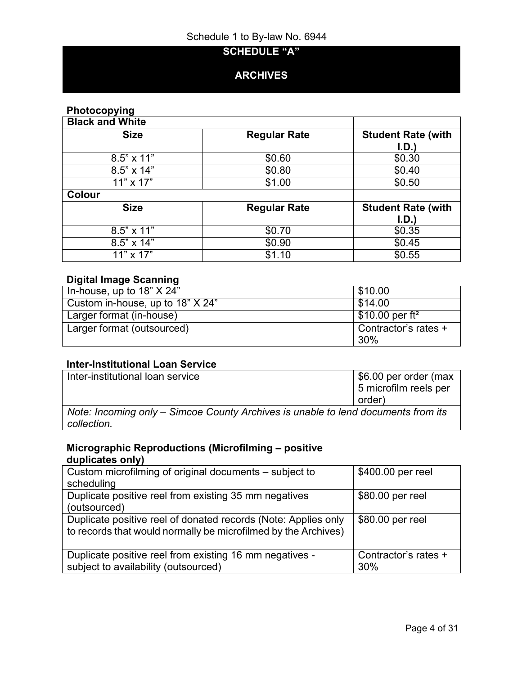## **SCHEDULE "A"**

## **ARCHIVES**

## **Photocopying**

| <b>Black and White</b> |                     |                           |
|------------------------|---------------------|---------------------------|
| <b>Size</b>            | <b>Regular Rate</b> | <b>Student Rate (with</b> |
|                        |                     | I.D.                      |
| $8.5" \times 11"$      | \$0.60              | \$0.30                    |
| $8.5" \times 14"$      | \$0.80              | \$0.40                    |
| $11" \times 17"$       | \$1.00              | \$0.50                    |
| <b>Colour</b>          |                     |                           |
| <b>Size</b>            | <b>Regular Rate</b> | <b>Student Rate (with</b> |
|                        |                     | I.D.)                     |
| 8.5" x 11"             | \$0.70              | \$0.35                    |
| 8.5" x 14"             | \$0.90              | \$0.45                    |
| $11" \times 17"$       | \$1.10              | \$0.55                    |

## **Digital Image Scanning**

| In-house, up to $18" X 24"$      | \$10.00                                   |
|----------------------------------|-------------------------------------------|
| Custom in-house, up to 18" X 24" | \$14.00                                   |
| Larger format (in-house)         | $\frac{1}{2}$ \$10.00 per ft <sup>2</sup> |
| Larger format (outsourced)       | Contractor's rates +                      |
|                                  | 30%                                       |

## **Inter-Institutional Loan Service**

| Inter-institutional loan service                                                                 | \$6.00 per order (max<br>5 microfilm reels per<br>order) |
|--------------------------------------------------------------------------------------------------|----------------------------------------------------------|
| Note: Incoming only – Simcoe County Archives is unable to lend documents from its<br>collection. |                                                          |

## **Micrographic Reproductions (Microfilming – positive duplicates only)**

| Custom microfilming of original documents – subject to         | \$400.00 per reel    |
|----------------------------------------------------------------|----------------------|
| scheduling                                                     |                      |
| Duplicate positive reel from existing 35 mm negatives          | \$80.00 per reel     |
| (outsourced)                                                   |                      |
| Duplicate positive reel of donated records (Note: Applies only | \$80.00 per reel     |
| to records that would normally be microfilmed by the Archives) |                      |
|                                                                |                      |
| Duplicate positive reel from existing 16 mm negatives -        | Contractor's rates + |
| subject to availability (outsourced)                           | 30%                  |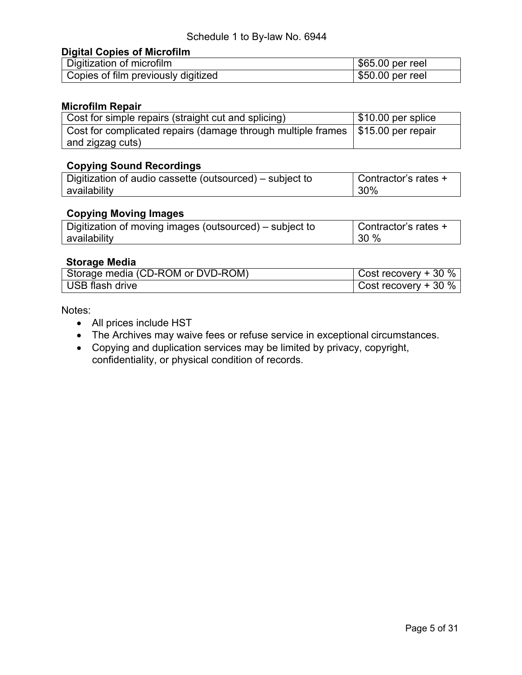#### **Digital Copies of Microfilm**

| Digitization of microfilm           | \$65.00 per reel |
|-------------------------------------|------------------|
| Copies of film previously digitized | \$50.00 per reel |

#### **Microfilm Repair**

| Cost for simple repairs (straight cut and splicing)                               | $\vert$ \$10.00 per splice |
|-----------------------------------------------------------------------------------|----------------------------|
| Cost for complicated repairs (damage through multiple frames   \$15.00 per repair |                            |
| and zigzag cuts)                                                                  |                            |

## **Copying Sound Recordings**

| Digitization of audio cassette (outsourced) – subject to | Contractor's rates + |
|----------------------------------------------------------|----------------------|
| availability                                             | 30%                  |

## **Copying Moving Images**

| Digitization of moving images (outsourced) – subject to | Contractor's rates + |
|---------------------------------------------------------|----------------------|
| availability                                            | 30%                  |

#### **Storage Media**

| Storage media (CD-ROM or DVD-ROM) | Cost recovery $+30\%$ |
|-----------------------------------|-----------------------|
| USB flash drive                   | Cost recovery $+30\%$ |

Notes:

- All prices include HST
- The Archives may waive fees or refuse service in exceptional circumstances.
- Copying and duplication services may be limited by privacy, copyright, confidentiality, or physical condition of records.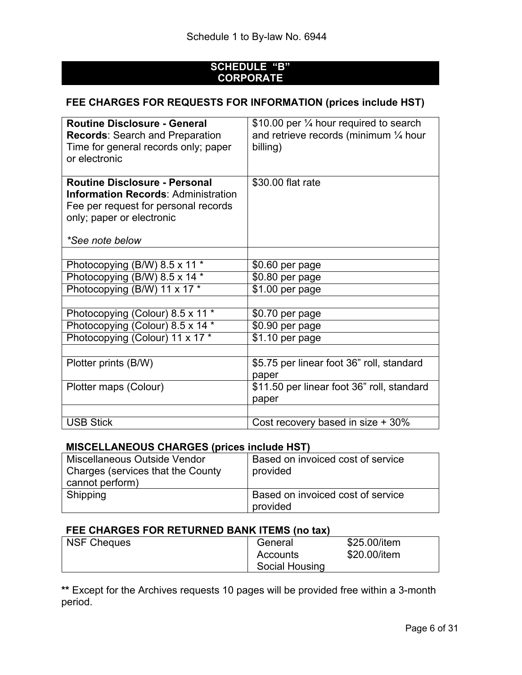## **SCHEDULE "B" CORPORATE**

## **FEE CHARGES FOR REQUESTS FOR INFORMATION (prices include HST)**

| <b>Routine Disclosure - General</b><br><b>Records: Search and Preparation</b><br>Time for general records only; paper<br>or electronic                                     | \$10.00 per 1/4 hour required to search<br>and retrieve records (minimum $\frac{1}{4}$ hour<br>billing) |  |
|----------------------------------------------------------------------------------------------------------------------------------------------------------------------------|---------------------------------------------------------------------------------------------------------|--|
| <b>Routine Disclosure - Personal</b><br><b>Information Records: Administration</b><br>Fee per request for personal records<br>only; paper or electronic<br>*See note below | \$30.00 flat rate                                                                                       |  |
|                                                                                                                                                                            |                                                                                                         |  |
| Photocopying (B/W) 8.5 x 11 *                                                                                                                                              | \$0.60 per page                                                                                         |  |
| Photocopying (B/W) 8.5 x 14 *                                                                                                                                              | \$0.80 per page                                                                                         |  |
| Photocopying (B/W) 11 x 17 *                                                                                                                                               | \$1.00 per page                                                                                         |  |
|                                                                                                                                                                            |                                                                                                         |  |
| Photocopying (Colour) 8.5 x 11 *                                                                                                                                           | \$0.70 per page                                                                                         |  |
| Photocopying (Colour) 8.5 x 14 *                                                                                                                                           | \$0.90 per page                                                                                         |  |
| Photocopying (Colour) 11 x 17 *                                                                                                                                            | $\overline{$}1.10$ per page                                                                             |  |
|                                                                                                                                                                            |                                                                                                         |  |
| Plotter prints (B/W)                                                                                                                                                       | \$5.75 per linear foot 36" roll, standard<br>paper                                                      |  |
| Plotter maps (Colour)                                                                                                                                                      | \$11.50 per linear foot 36" roll, standard<br>paper                                                     |  |
|                                                                                                                                                                            |                                                                                                         |  |
| <b>USB Stick</b>                                                                                                                                                           | Cost recovery based in size + 30%                                                                       |  |

## **MISCELLANEOUS CHARGES (prices include HST)**

| Miscellaneous Outside Vendor<br>Charges (services that the County<br>cannot perform) | Based on invoiced cost of service<br>provided |
|--------------------------------------------------------------------------------------|-----------------------------------------------|
| Shipping                                                                             | Based on invoiced cost of service<br>provided |

## **FEE CHARGES FOR RETURNED BANK ITEMS (no tax)**

| NSF Cheques | General        | \$25.00/item |
|-------------|----------------|--------------|
|             | Accounts       | \$20.00/item |
|             | Social Housing |              |

**\*\*** Except for the Archives requests 10 pages will be provided free within a 3-month period.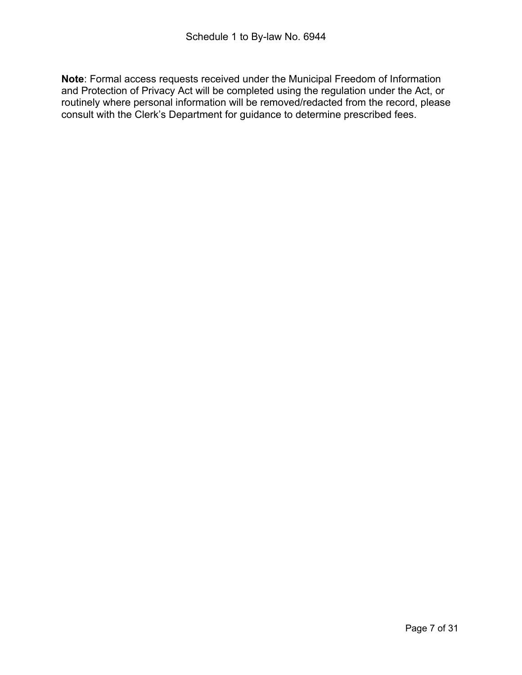**Note**: Formal access requests received under the Municipal Freedom of Information and Protection of Privacy Act will be completed using the regulation under the Act, or routinely where personal information will be removed/redacted from the record, please consult with the Clerk's Department for guidance to determine prescribed fees.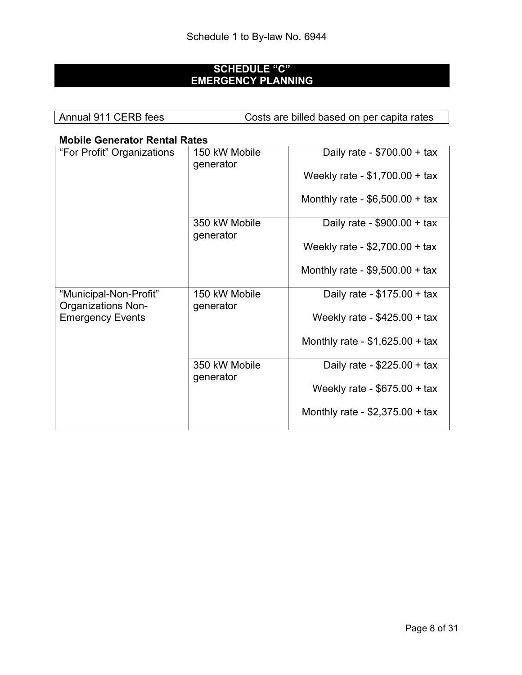## **SCHEDULE "C" EMERGENCY PLANNING**

| Annual 911 CERB fees | Costs are billed based on per capita rates |
|----------------------|--------------------------------------------|
|                      |                                            |

## **Mobile Generator Rental Rates**

| "For Profit" Organizations                          | 150 kW Mobile<br>generator | Daily rate - $$700.00 + tax$     |
|-----------------------------------------------------|----------------------------|----------------------------------|
|                                                     |                            | Weekly rate - $$1,700.00 + tax$  |
|                                                     |                            | Monthly rate - $$6,500.00 + tax$ |
|                                                     | 350 kW Mobile<br>generator | Daily rate - $$900.00 + tax$     |
|                                                     |                            | Weekly rate - \$2,700.00 + tax   |
|                                                     |                            | Monthly rate - $$9,500.00 + tax$ |
| "Municipal-Non-Profit"<br><b>Organizations Non-</b> | 150 kW Mobile<br>generator | Daily rate - $$175.00 + tax$     |
| <b>Emergency Events</b>                             |                            | Weekly rate - $$425.00 + tax$    |
|                                                     |                            | Monthly rate - $$1,625.00 + tax$ |
|                                                     | 350 kW Mobile<br>generator | Daily rate - $$225.00 + tax$     |
|                                                     |                            | Weekly rate - $$675.00 + tax$    |
|                                                     |                            | Monthly rate - $$2,375.00 + tax$ |
|                                                     |                            |                                  |

٦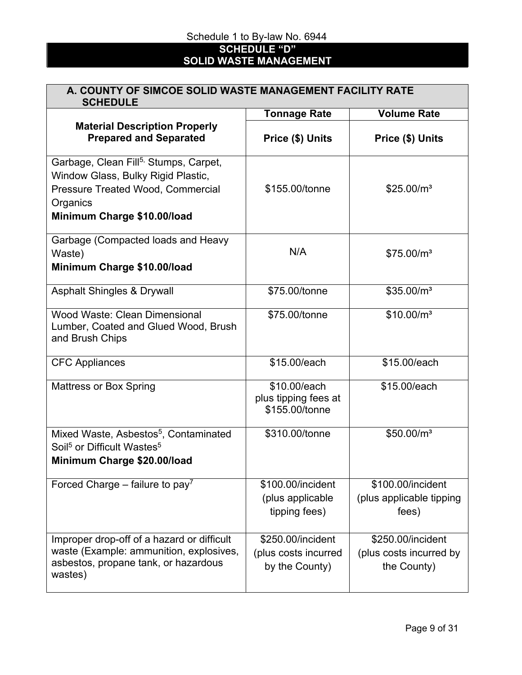**SCHEDULE "D" SOLID WASTE MANAGEMENT**

# **A. COUNTY OF SIMCOE SOLID WASTE MANAGEMENT FACILITY RATE**

| <b>SCHEDULE</b>                                                                                                                                                         |                                                             |                                                             |  |  |  |
|-------------------------------------------------------------------------------------------------------------------------------------------------------------------------|-------------------------------------------------------------|-------------------------------------------------------------|--|--|--|
|                                                                                                                                                                         | <b>Tonnage Rate</b>                                         | <b>Volume Rate</b>                                          |  |  |  |
| <b>Material Description Properly</b><br><b>Prepared and Separated</b>                                                                                                   | Price (\$) Units                                            | Price (\$) Units                                            |  |  |  |
| Garbage, Clean Fill <sup>5,</sup> Stumps, Carpet,<br>Window Glass, Bulky Rigid Plastic,<br>Pressure Treated Wood, Commercial<br>Organics<br>Minimum Charge \$10.00/load | \$155.00/tonne                                              | \$25.00/m <sup>3</sup>                                      |  |  |  |
| Garbage (Compacted loads and Heavy<br>Waste)<br>Minimum Charge \$10.00/load                                                                                             | N/A                                                         | \$75.00/m <sup>3</sup>                                      |  |  |  |
| <b>Asphalt Shingles &amp; Drywall</b>                                                                                                                                   | \$75.00/tonne                                               | \$35.00/m <sup>3</sup>                                      |  |  |  |
| <b>Wood Waste: Clean Dimensional</b><br>Lumber, Coated and Glued Wood, Brush<br>and Brush Chips                                                                         | \$75.00/tonne                                               | $$10.00/m^3$                                                |  |  |  |
| <b>CFC Appliances</b>                                                                                                                                                   | \$15.00/each                                                | \$15.00/each                                                |  |  |  |
| <b>Mattress or Box Spring</b>                                                                                                                                           | \$10.00/each<br>plus tipping fees at<br>\$155.00/tonne      | \$15.00/each                                                |  |  |  |
| Mixed Waste, Asbestos <sup>5</sup> , Contaminated<br>Soil <sup>5</sup> or Difficult Wastes <sup>5</sup><br>Minimum Charge \$20.00/load                                  | \$310.00/tonne                                              | \$50.00/m <sup>3</sup>                                      |  |  |  |
| Forced Charge – failure to pay <sup>7</sup>                                                                                                                             | \$100.00/incident<br>(plus applicable<br>tipping fees)      | \$100.00/incident<br>(plus applicable tipping<br>fees)      |  |  |  |
| Improper drop-off of a hazard or difficult<br>waste (Example: ammunition, explosives,<br>asbestos, propane tank, or hazardous<br>wastes)                                | \$250.00/incident<br>(plus costs incurred<br>by the County) | \$250.00/incident<br>(plus costs incurred by<br>the County) |  |  |  |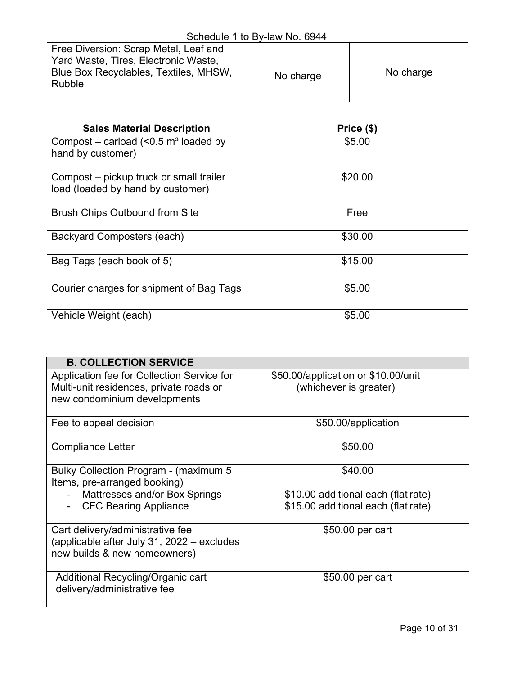| <u> UUINUUD I W DI MII IV. UU I I</u>                                                                                                   |           |           |  |  |  |
|-----------------------------------------------------------------------------------------------------------------------------------------|-----------|-----------|--|--|--|
| Free Diversion: Scrap Metal, Leaf and<br>Yard Waste, Tires, Electronic Waste,<br>Blue Box Recyclables, Textiles, MHSW,<br><b>Rubble</b> | No charge | No charge |  |  |  |

| <b>Sales Material Description</b>                   | Price (\$) |
|-----------------------------------------------------|------------|
| Compost – carload $(< 0.5$ m <sup>3</sup> loaded by | \$5.00     |
| hand by customer)                                   |            |
| Compost – pickup truck or small trailer             | \$20.00    |
| load (loaded by hand by customer)                   |            |
| <b>Brush Chips Outbound from Site</b>               | Free       |
| Backyard Composters (each)                          | \$30.00    |
| Bag Tags (each book of 5)                           | \$15.00    |
| Courier charges for shipment of Bag Tags            | \$5.00     |
| Vehicle Weight (each)                               | \$5.00     |

| <b>B. COLLECTION SERVICE</b>                                                                                          |                                                               |
|-----------------------------------------------------------------------------------------------------------------------|---------------------------------------------------------------|
| Application fee for Collection Service for<br>Multi-unit residences, private roads or<br>new condominium developments | \$50.00/application or \$10.00/unit<br>(whichever is greater) |
| Fee to appeal decision                                                                                                | \$50.00/application                                           |
| <b>Compliance Letter</b>                                                                                              | \$50.00                                                       |
| Bulky Collection Program - (maximum 5<br>Items, pre-arranged booking)<br>Mattresses and/or Box Springs                | \$40.00<br>\$10.00 additional each (flat rate)                |
| <b>CFC Bearing Appliance</b>                                                                                          | \$15.00 additional each (flat rate)                           |
| Cart delivery/administrative fee<br>(applicable after July 31, 2022 – excludes<br>new builds & new homeowners)        | \$50.00 per cart                                              |
| Additional Recycling/Organic cart<br>delivery/administrative fee                                                      | \$50.00 per cart                                              |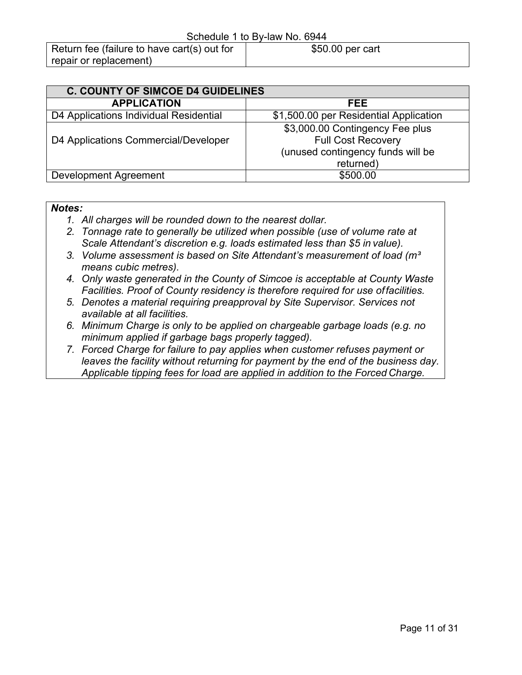| <b>C. COUNTY OF SIMCOE D4 GUIDELINES</b> |                                        |  |  |
|------------------------------------------|----------------------------------------|--|--|
| <b>APPLICATION</b>                       | FEE                                    |  |  |
| D4 Applications Individual Residential   | \$1,500.00 per Residential Application |  |  |
|                                          | \$3,000.00 Contingency Fee plus        |  |  |
| D4 Applications Commercial/Developer     | <b>Full Cost Recovery</b>              |  |  |
|                                          | (unused contingency funds will be      |  |  |
|                                          | returned)                              |  |  |
| Development Agreement                    | \$500.00                               |  |  |

#### *Notes:*

- *1. All charges will be rounded down to the nearest dollar.*
- *2. Tonnage rate to generally be utilized when possible (use of volume rate at Scale Attendant's discretion e.g. loads estimated less than \$5 in value).*
- *3. Volume assessment is based on Site Attendant's measurement of load (m³ means cubic metres).*
- *4. Only waste generated in the County of Simcoe is acceptable at County Waste Facilities. Proof of County residency is therefore required for use offacilities.*
- *5. Denotes a material requiring preapproval by Site Supervisor. Services not available at all facilities.*
- *6. Minimum Charge is only to be applied on chargeable garbage loads (e.g. no minimum applied if garbage bags properly tagged).*
- *7. Forced Charge for failure to pay applies when customer refuses payment or leaves the facility without returning for payment by the end of the business day. Applicable tipping fees for load are applied in addition to the Forced Charge.*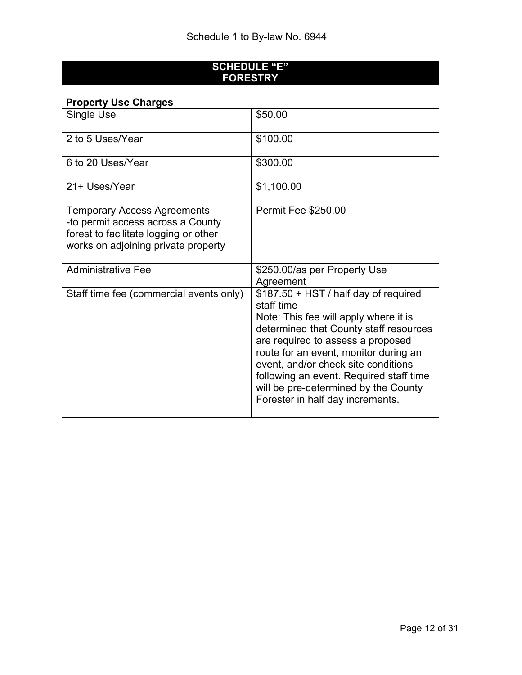## **SCHEDULE "E" FORESTRY**

## **Property Use Charges**

| Single Use                                                                                                                                              | \$50.00                                                                                                                                                                                                                                                                                                                                                                             |
|---------------------------------------------------------------------------------------------------------------------------------------------------------|-------------------------------------------------------------------------------------------------------------------------------------------------------------------------------------------------------------------------------------------------------------------------------------------------------------------------------------------------------------------------------------|
| 2 to 5 Uses/Year                                                                                                                                        | \$100.00                                                                                                                                                                                                                                                                                                                                                                            |
| 6 to 20 Uses/Year                                                                                                                                       | \$300.00                                                                                                                                                                                                                                                                                                                                                                            |
| 21+ Uses/Year                                                                                                                                           | \$1,100.00                                                                                                                                                                                                                                                                                                                                                                          |
| <b>Temporary Access Agreements</b><br>-to permit access across a County<br>forest to facilitate logging or other<br>works on adjoining private property | <b>Permit Fee \$250.00</b>                                                                                                                                                                                                                                                                                                                                                          |
| <b>Administrative Fee</b>                                                                                                                               | \$250.00/as per Property Use<br>Agreement                                                                                                                                                                                                                                                                                                                                           |
| Staff time fee (commercial events only)                                                                                                                 | $$187.50 + HST / half day of required$<br>staff time<br>Note: This fee will apply where it is<br>determined that County staff resources<br>are required to assess a proposed<br>route for an event, monitor during an<br>event, and/or check site conditions<br>following an event. Required staff time<br>will be pre-determined by the County<br>Forester in half day increments. |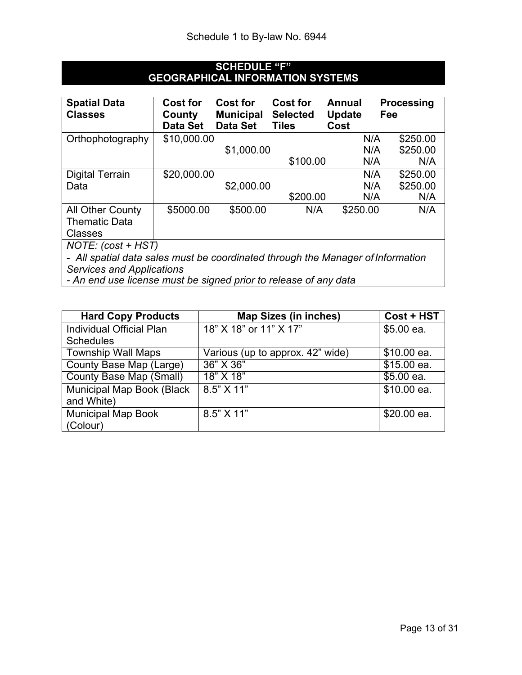## **SCHEDULE "F" GEOGRAPHICAL INFORMATION SYSTEMS**

| <b>Spatial Data</b><br><b>Classes</b>                                           | <b>Cost for</b><br>County<br><b>Data Set</b> | <b>Cost for</b><br><b>Municipal</b><br><b>Data Set</b> | <b>Cost for</b><br><b>Selected</b><br><b>Tiles</b> | Annual<br>Update<br>Cost | <b>Processing</b><br>Fee |
|---------------------------------------------------------------------------------|----------------------------------------------|--------------------------------------------------------|----------------------------------------------------|--------------------------|--------------------------|
| Orthophotography                                                                | \$10,000.00                                  |                                                        |                                                    | N/A                      | \$250.00                 |
|                                                                                 |                                              | \$1,000.00                                             |                                                    | N/A                      | \$250.00                 |
|                                                                                 |                                              |                                                        | \$100.00                                           | N/A                      | N/A                      |
| <b>Digital Terrain</b>                                                          | \$20,000.00                                  |                                                        |                                                    | N/A                      | \$250.00                 |
| Data                                                                            |                                              | \$2,000.00                                             |                                                    | N/A                      | \$250.00                 |
|                                                                                 |                                              |                                                        | \$200.00                                           | N/A                      | N/A                      |
| All Other County                                                                | \$5000.00                                    | \$500.00                                               | N/A                                                | \$250.00                 | N/A                      |
| <b>Thematic Data</b>                                                            |                                              |                                                        |                                                    |                          |                          |
| <b>Classes</b>                                                                  |                                              |                                                        |                                                    |                          |                          |
| $NOTE: (cost + HST)$                                                            |                                              |                                                        |                                                    |                          |                          |
| - All spatial data sales must be coordinated through the Manager of Information |                                              |                                                        |                                                    |                          |                          |

*Services and Applications*

*- An end use license must be signed prior to release of any data*

| <b>Hard Copy Products</b> | <b>Map Sizes (in inches)</b>     | Cost + HST  |
|---------------------------|----------------------------------|-------------|
| Individual Official Plan  | 18" X 18" or 11" X 17"           | $$5.00$ ea. |
| <b>Schedules</b>          |                                  |             |
| <b>Township Wall Maps</b> | Various (up to approx. 42" wide) | \$10.00 ea. |
| County Base Map (Large)   | 36" X 36"                        | \$15.00 ea. |
| County Base Map (Small)   | 18" X 18"                        | $$5.00$ ea. |
| Municipal Map Book (Black | 8.5" X 11"                       | \$10.00 ea. |
| and White)                |                                  |             |
| <b>Municipal Map Book</b> | $8.5"$ X 11"                     | \$20.00 ea. |
| (Colour)                  |                                  |             |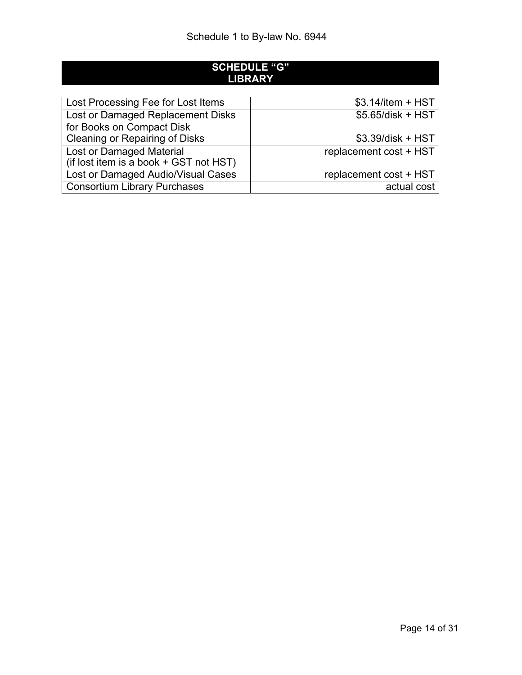## **SCHEDULE "G" LIBRARY**

| Lost Processing Fee for Lost Items     | $$3.14$ /item + HST    |
|----------------------------------------|------------------------|
| Lost or Damaged Replacement Disks      | $$5.65/disk + HST$     |
| for Books on Compact Disk              |                        |
| <b>Cleaning or Repairing of Disks</b>  | $$3.39/disk + HST$     |
| Lost or Damaged Material               | replacement cost + HST |
| (if lost item is a book + GST not HST) |                        |
| Lost or Damaged Audio/Visual Cases     | replacement cost + HST |
| <b>Consortium Library Purchases</b>    | actual cost            |
|                                        |                        |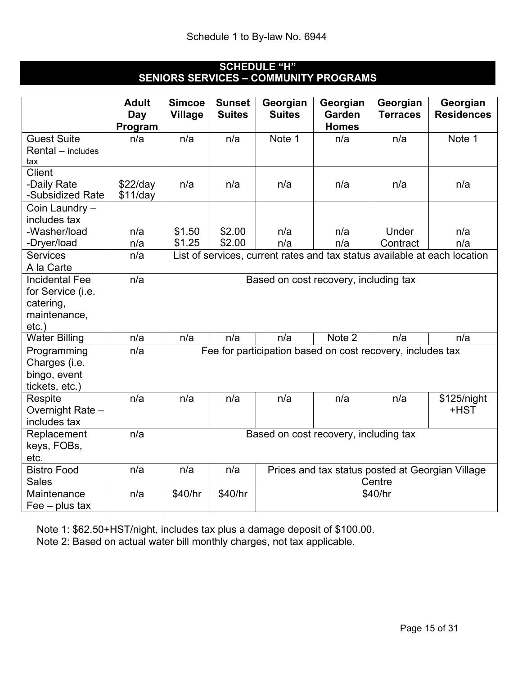## **SCHEDULE "H" SENIORS SERVICES – COMMUNITY PROGRAMS**

|                                 | <b>Adult</b><br>Day      | <b>Simcoe</b><br><b>Village</b> | <b>Sunset</b><br><b>Suites</b> | Georgian<br><b>Suites</b>                                  | Georgian<br><b>Garden</b> | Georgian<br><b>Terraces</b> | Georgian<br><b>Residences</b>                                             |
|---------------------------------|--------------------------|---------------------------------|--------------------------------|------------------------------------------------------------|---------------------------|-----------------------------|---------------------------------------------------------------------------|
|                                 | Program                  |                                 |                                |                                                            | <b>Homes</b>              |                             |                                                                           |
| <b>Guest Suite</b>              | n/a                      | n/a                             | n/a                            | Note 1                                                     | n/a                       | n/a                         | Note 1                                                                    |
| Rental - includes<br>tax        |                          |                                 |                                |                                                            |                           |                             |                                                                           |
| <b>Client</b>                   |                          |                                 |                                |                                                            |                           |                             |                                                                           |
| -Daily Rate<br>-Subsidized Rate | $$22$ /day<br>$$11$ /day | n/a                             | n/a                            | n/a                                                        | n/a                       | n/a                         | n/a                                                                       |
| Coin Laundry -<br>includes tax  |                          |                                 |                                |                                                            |                           |                             |                                                                           |
| -Washer/load                    | n/a                      | \$1.50                          | \$2.00                         | n/a                                                        | n/a                       | Under                       | n/a                                                                       |
| -Dryer/load                     | n/a                      | \$1.25                          | \$2.00                         | n/a                                                        | n/a                       | Contract                    | n/a                                                                       |
| <b>Services</b>                 | n/a                      |                                 |                                |                                                            |                           |                             | List of services, current rates and tax status available at each location |
| A la Carte                      |                          |                                 |                                |                                                            |                           |                             |                                                                           |
| <b>Incidental Fee</b>           | n/a                      |                                 |                                | Based on cost recovery, including tax                      |                           |                             |                                                                           |
| for Service (i.e.               |                          |                                 |                                |                                                            |                           |                             |                                                                           |
| catering,<br>maintenance,       |                          |                                 |                                |                                                            |                           |                             |                                                                           |
| $etc.$ )                        |                          |                                 |                                |                                                            |                           |                             |                                                                           |
| <b>Water Billing</b>            | n/a                      | n/a                             | n/a                            | n/a                                                        | Note 2                    | n/a                         | n/a                                                                       |
| Programming                     | n/a                      |                                 |                                | Fee for participation based on cost recovery, includes tax |                           |                             |                                                                           |
| Charges (i.e.                   |                          |                                 |                                |                                                            |                           |                             |                                                                           |
| bingo, event                    |                          |                                 |                                |                                                            |                           |                             |                                                                           |
| tickets, etc.)                  |                          |                                 |                                |                                                            |                           |                             |                                                                           |
| Respite                         | n/a                      | n/a                             | n/a                            | n/a                                                        | n/a                       | n/a                         | \$125/night                                                               |
| Overnight Rate -                |                          |                                 |                                |                                                            |                           |                             | +HST                                                                      |
| includes tax                    |                          |                                 |                                |                                                            |                           |                             |                                                                           |
| Replacement                     | n/a                      |                                 |                                | Based on cost recovery, including tax                      |                           |                             |                                                                           |
| keys, FOBs,                     |                          |                                 |                                |                                                            |                           |                             |                                                                           |
| etc.                            |                          |                                 |                                |                                                            |                           |                             |                                                                           |
| <b>Bistro Food</b>              | n/a                      | n/a                             | n/a                            | Prices and tax status posted at Georgian Village           |                           |                             |                                                                           |
| <b>Sales</b>                    |                          |                                 |                                | Centre                                                     |                           |                             |                                                                           |
| Maintenance                     | n/a                      | \$40/hr                         | \$40/hr                        |                                                            |                           | \$40/hr                     |                                                                           |
| $\text{Fe}$ – plus tax          |                          |                                 |                                |                                                            |                           |                             |                                                                           |

Note 1: \$62.50+HST/night, includes tax plus a damage deposit of \$100.00.

Note 2: Based on actual water bill monthly charges, not tax applicable.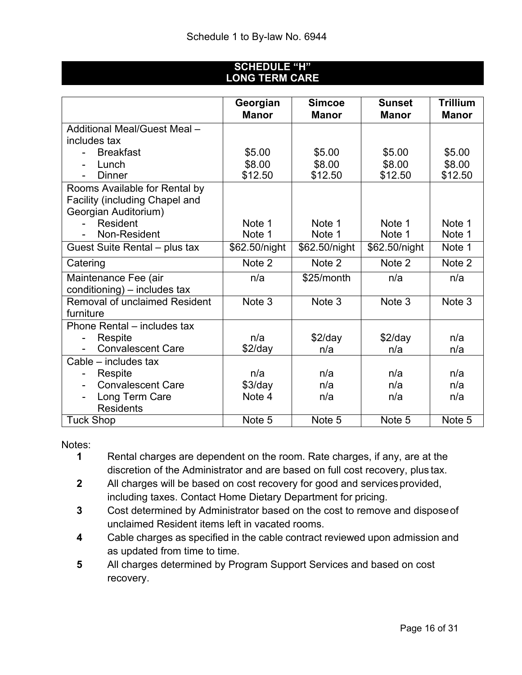## **SCHEDULE "H" LONG TERM CARE**

|                                       | Georgian<br><b>Manor</b> | <b>Simcoe</b><br><b>Manor</b> | Sunset<br><b>Manor</b> | <b>Trillium</b><br><b>Manor</b> |
|---------------------------------------|--------------------------|-------------------------------|------------------------|---------------------------------|
| Additional Meal/Guest Meal -          |                          |                               |                        |                                 |
| includes tax                          |                          |                               |                        |                                 |
| <b>Breakfast</b>                      | \$5.00                   | \$5.00                        | \$5.00                 | \$5.00                          |
| Lunch                                 | \$8.00                   | \$8.00                        | \$8.00                 | \$8.00                          |
| <b>Dinner</b><br>$\blacksquare$       | \$12.50                  | \$12.50                       | \$12.50                | \$12.50                         |
| Rooms Available for Rental by         |                          |                               |                        |                                 |
| <b>Facility (including Chapel and</b> |                          |                               |                        |                                 |
| Georgian Auditorium)                  |                          |                               |                        |                                 |
| Resident                              | Note 1                   | Note 1                        | Note 1                 | Note 1                          |
| Non-Resident                          | Note 1                   | Note 1                        | Note 1                 | Note 1                          |
| Guest Suite Rental – plus tax         | \$62.50/night            | \$62.50/night                 | \$62.50/night          | Note 1                          |
| Catering                              | Note 2                   | Note 2                        | Note 2                 | Note 2                          |
| Maintenance Fee (air                  | n/a                      | \$25/month                    | n/a                    | n/a                             |
| conditioning) – includes tax          |                          |                               |                        |                                 |
| <b>Removal of unclaimed Resident</b>  | Note 3                   | Note 3                        | Note 3                 | Note 3                          |
| furniture                             |                          |                               |                        |                                 |
| Phone Rental – includes tax           |                          |                               |                        |                                 |
| Respite                               | n/a                      | $$2$ /day                     | $$2$ /day              | n/a                             |
| <b>Convalescent Care</b>              | $$2$ /day                | n/a                           | n/a                    | n/a                             |
| Cable - includes tax                  |                          |                               |                        |                                 |
| Respite                               | n/a                      | n/a                           | n/a                    | n/a                             |
| <b>Convalescent Care</b>              | $$3$ /day                | n/a                           | n/a                    | n/a                             |
| Long Term Care                        | Note 4                   | n/a                           | n/a                    | n/a                             |
| <b>Residents</b>                      |                          |                               |                        |                                 |
| <b>Tuck Shop</b>                      | Note 5                   | Note 5                        | Note 5                 | Note 5                          |

Notes:<br>1

- **1** Rental charges are dependent on the room. Rate charges, if any, are at the discretion of the Administrator and are based on full cost recovery, plus tax.
- **2** All charges will be based on cost recovery for good and services provided, including taxes. Contact Home Dietary Department for pricing.
- **3** Cost determined by Administrator based on the cost to remove and disposeof unclaimed Resident items left in vacated rooms.
- **4** Cable charges as specified in the cable contract reviewed upon admission and as updated from time to time.
- **5** All charges determined by Program Support Services and based on cost recovery.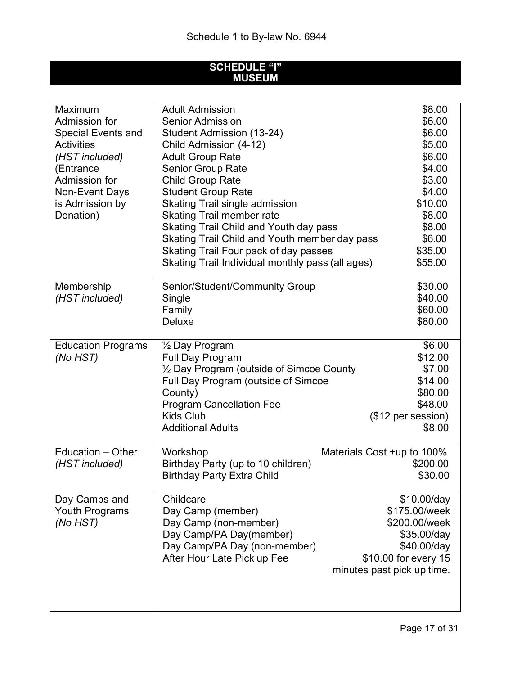#### **SCHEDULE "I" MUSEUM**

| Maximum                   | <b>Adult Admission</b>                           | \$8.00                     |
|---------------------------|--------------------------------------------------|----------------------------|
| Admission for             | <b>Senior Admission</b>                          | \$6.00                     |
| <b>Special Events and</b> | Student Admission (13-24)                        | \$6.00                     |
| <b>Activities</b>         | Child Admission (4-12)                           | \$5.00                     |
| (HST included)            | <b>Adult Group Rate</b>                          | \$6.00                     |
| (Entrance                 | <b>Senior Group Rate</b>                         | \$4.00                     |
| Admission for             | <b>Child Group Rate</b>                          | \$3.00                     |
| <b>Non-Event Days</b>     | <b>Student Group Rate</b>                        | \$4.00                     |
| is Admission by           | Skating Trail single admission                   | \$10.00                    |
| Donation)                 | <b>Skating Trail member rate</b>                 | \$8.00                     |
|                           | Skating Trail Child and Youth day pass           | \$8.00                     |
|                           | Skating Trail Child and Youth member day pass    | \$6.00                     |
|                           | Skating Trail Four pack of day passes            | \$35.00                    |
|                           | Skating Trail Individual monthly pass (all ages) | \$55.00                    |
|                           |                                                  |                            |
| Membership                | Senior/Student/Community Group                   | \$30.00                    |
| (HST included)            | Single                                           | \$40.00                    |
|                           | Family                                           | \$60.00                    |
|                           | <b>Deluxe</b>                                    | \$80.00                    |
|                           |                                                  |                            |
| <b>Education Programs</b> | 1/ <sub>2</sub> Day Program                      | \$6.00                     |
| (No HST)                  | <b>Full Day Program</b>                          | \$12.00                    |
|                           | 1/2 Day Program (outside of Simcoe County        | \$7.00                     |
|                           | Full Day Program (outside of Simcoe              | \$14.00                    |
|                           | County)                                          | \$80.00                    |
|                           | <b>Program Cancellation Fee</b>                  | \$48.00                    |
|                           | <b>Kids Club</b>                                 | (\$12 per session)         |
|                           | <b>Additional Adults</b>                         | \$8.00                     |
|                           |                                                  |                            |
| Education - Other         | Workshop                                         | Materials Cost +up to 100% |
| (HST included)            | Birthday Party (up to 10 children)               | \$200.00                   |
|                           | <b>Birthday Party Extra Child</b>                | \$30.00                    |
|                           |                                                  |                            |
| Day Camps and             | Childcare                                        | \$10.00/day                |
| <b>Youth Programs</b>     | Day Camp (member)                                | \$175.00/week              |
| (No HST)                  | Day Camp (non-member)                            | \$200.00/week              |
|                           | Day Camp/PA Day(member)                          | \$35.00/day                |
|                           | Day Camp/PA Day (non-member)                     | \$40.00/day                |
|                           | After Hour Late Pick up Fee                      | \$10.00 for every 15       |
|                           |                                                  | minutes past pick up time. |
|                           |                                                  |                            |
|                           |                                                  |                            |
|                           |                                                  |                            |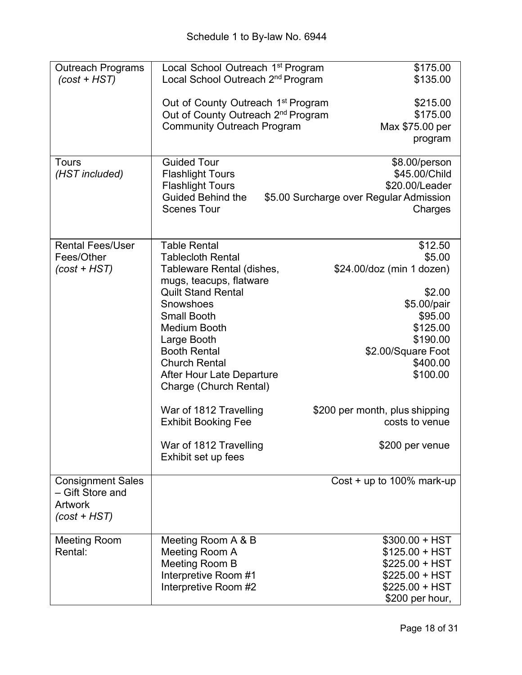| <b>Outreach Programs</b><br>$(cost + HST)$<br>Tours<br>(HST included)            | Local School Outreach 1 <sup>st</sup> Program<br>Local School Outreach 2 <sup>nd</sup> Program<br>Out of County Outreach 1 <sup>st</sup> Program<br>Out of County Outreach 2 <sup>nd</sup> Program<br><b>Community Outreach Program</b><br><b>Guided Tour</b><br><b>Flashlight Tours</b><br><b>Flashlight Tours</b><br><b>Guided Behind the</b><br><b>Scenes Tour</b>                                                        | \$175.00<br>\$135.00<br>\$215.00<br>\$175.00<br>Max \$75.00 per<br>program<br>\$8.00/person<br>\$45.00/Child<br>\$20.00/Leader<br>\$5.00 Surcharge over Regular Admission<br>Charges                                            |
|----------------------------------------------------------------------------------|------------------------------------------------------------------------------------------------------------------------------------------------------------------------------------------------------------------------------------------------------------------------------------------------------------------------------------------------------------------------------------------------------------------------------|---------------------------------------------------------------------------------------------------------------------------------------------------------------------------------------------------------------------------------|
| <b>Rental Fees/User</b><br>Fees/Other<br>$(cost + HST)$                          | <b>Table Rental</b><br><b>Tablecloth Rental</b><br>Tableware Rental (dishes,<br>mugs, teacups, flatware<br><b>Quilt Stand Rental</b><br>Snowshoes<br><b>Small Booth</b><br><b>Medium Booth</b><br>Large Booth<br><b>Booth Rental</b><br><b>Church Rental</b><br>After Hour Late Departure<br>Charge (Church Rental)<br>War of 1812 Travelling<br><b>Exhibit Booking Fee</b><br>War of 1812 Travelling<br>Exhibit set up fees | \$12.50<br>\$5.00<br>\$24.00/doz (min 1 dozen)<br>\$2.00<br>\$5.00/pair<br>\$95.00<br>\$125.00<br>\$190.00<br>\$2.00/Square Foot<br>\$400.00<br>\$100.00<br>\$200 per month, plus shipping<br>costs to venue<br>\$200 per venue |
| <b>Consignment Sales</b><br>- Gift Store and<br><b>Artwork</b><br>$(cost + HST)$ |                                                                                                                                                                                                                                                                                                                                                                                                                              | Cost $+$ up to 100% mark-up                                                                                                                                                                                                     |
| <b>Meeting Room</b><br>Rental:                                                   | Meeting Room A & B<br>Meeting Room A<br>Meeting Room B<br>Interpretive Room #1<br>Interpretive Room #2                                                                                                                                                                                                                                                                                                                       | $$300.00 + HST$<br>$$125.00 + HST$<br>$$225.00 + HST$<br>$$225.00 + HST$<br>$$225.00 + HST$<br>\$200 per hour,                                                                                                                  |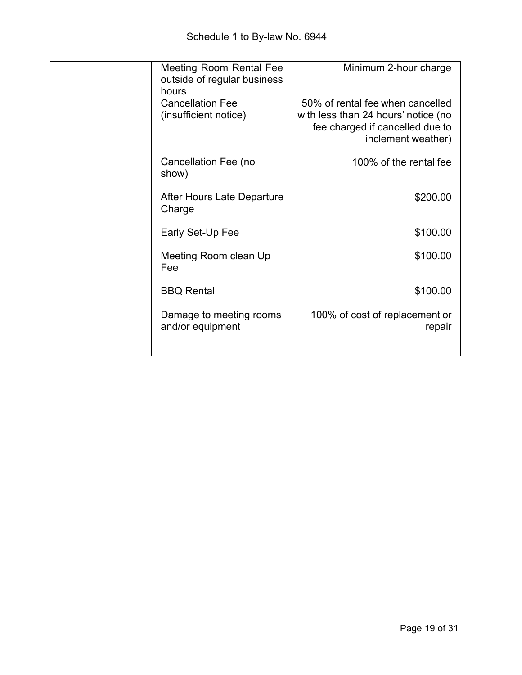| <b>Meeting Room Rental Fee</b><br>outside of regular business<br>hours | Minimum 2-hour charge                                                                                                            |
|------------------------------------------------------------------------|----------------------------------------------------------------------------------------------------------------------------------|
| <b>Cancellation Fee</b><br>(insufficient notice)                       | 50% of rental fee when cancelled<br>with less than 24 hours' notice (no<br>fee charged if cancelled due to<br>inclement weather) |
| Cancellation Fee (no<br>show)                                          | 100% of the rental fee                                                                                                           |
| After Hours Late Departure<br>Charge                                   | \$200.00                                                                                                                         |
| Early Set-Up Fee                                                       | \$100.00                                                                                                                         |
| Meeting Room clean Up<br>Fee                                           | \$100.00                                                                                                                         |
| <b>BBQ Rental</b>                                                      | \$100.00                                                                                                                         |
| Damage to meeting rooms<br>and/or equipment                            | 100% of cost of replacement or<br>repair                                                                                         |
|                                                                        |                                                                                                                                  |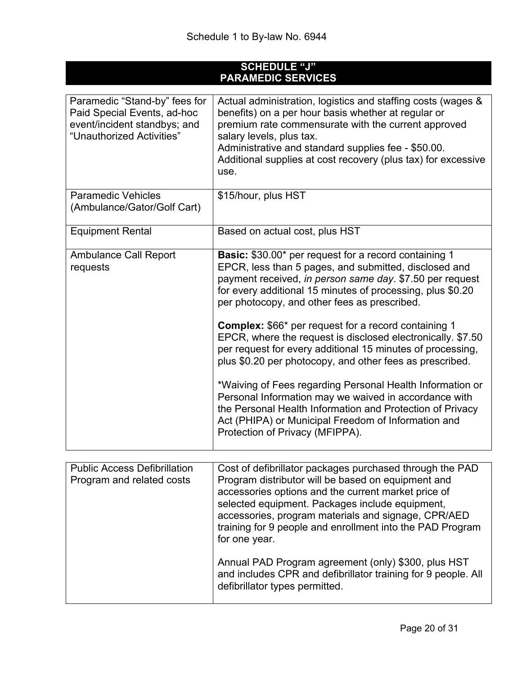| <b>SCHEDULE "J"</b><br><b>PARAMEDIC SERVICES</b>                                                                          |                                                                                                                                                                                                                                                                                                                                                                                                                                                                                                                                                                                                                      |  |  |
|---------------------------------------------------------------------------------------------------------------------------|----------------------------------------------------------------------------------------------------------------------------------------------------------------------------------------------------------------------------------------------------------------------------------------------------------------------------------------------------------------------------------------------------------------------------------------------------------------------------------------------------------------------------------------------------------------------------------------------------------------------|--|--|
| Paramedic "Stand-by" fees for<br>Paid Special Events, ad-hoc<br>event/incident standbys; and<br>"Unauthorized Activities" | Actual administration, logistics and staffing costs (wages &<br>benefits) on a per hour basis whether at regular or<br>premium rate commensurate with the current approved<br>salary levels, plus tax.<br>Administrative and standard supplies fee - \$50.00.<br>Additional supplies at cost recovery (plus tax) for excessive<br>use.                                                                                                                                                                                                                                                                               |  |  |
| <b>Paramedic Vehicles</b><br>(Ambulance/Gator/Golf Cart)                                                                  | \$15/hour, plus HST                                                                                                                                                                                                                                                                                                                                                                                                                                                                                                                                                                                                  |  |  |
| <b>Equipment Rental</b>                                                                                                   | Based on actual cost, plus HST                                                                                                                                                                                                                                                                                                                                                                                                                                                                                                                                                                                       |  |  |
| <b>Ambulance Call Report</b><br>requests                                                                                  | <b>Basic:</b> \$30.00* per request for a record containing 1<br>EPCR, less than 5 pages, and submitted, disclosed and<br>payment received, in person same day. \$7.50 per request<br>for every additional 15 minutes of processing, plus \$0.20<br>per photocopy, and other fees as prescribed.<br><b>Complex:</b> \$66* per request for a record containing 1<br>EPCR, where the request is disclosed electronically. \$7.50<br>per request for every additional 15 minutes of processing,<br>plus \$0.20 per photocopy, and other fees as prescribed.<br>*Waiving of Fees regarding Personal Health Information or |  |  |
|                                                                                                                           | Personal Information may we waived in accordance with<br>the Personal Health Information and Protection of Privacy<br>Act (PHIPA) or Municipal Freedom of Information and<br>Protection of Privacy (MFIPPA).                                                                                                                                                                                                                                                                                                                                                                                                         |  |  |

| <b>Public Access Defibrillation</b><br>Program and related costs | Cost of defibrillator packages purchased through the PAD<br>Program distributor will be based on equipment and<br>accessories options and the current market price of<br>selected equipment. Packages include equipment,<br>accessories, program materials and signage, CPR/AED<br>training for 9 people and enrollment into the PAD Program<br>for one year. |
|------------------------------------------------------------------|---------------------------------------------------------------------------------------------------------------------------------------------------------------------------------------------------------------------------------------------------------------------------------------------------------------------------------------------------------------|
|                                                                  | Annual PAD Program agreement (only) \$300, plus HST<br>and includes CPR and defibrillator training for 9 people. All<br>defibrillator types permitted.                                                                                                                                                                                                        |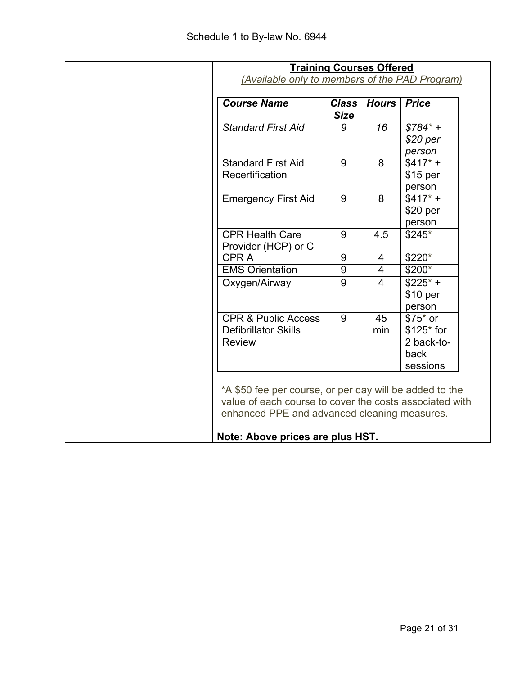| <b>Training Courses Offered</b><br>(Available only to members of the PAD Program)                                                                                                                      |                             |                         |                                                          |
|--------------------------------------------------------------------------------------------------------------------------------------------------------------------------------------------------------|-----------------------------|-------------------------|----------------------------------------------------------|
| <b>Course Name</b>                                                                                                                                                                                     | <b>Class</b><br><b>Size</b> | <b>Hours</b>            | <b>Price</b>                                             |
| <b>Standard First Aid</b>                                                                                                                                                                              | 9                           | 16                      | $$784^*$ +<br>$$20~\mathrm{per}$<br>person               |
| <b>Standard First Aid</b><br>Recertification                                                                                                                                                           | 9                           | 8                       | $$417* +$<br>$$15$ per<br>person                         |
| <b>Emergency First Aid</b>                                                                                                                                                                             | 9                           | 8                       | $$417^*$ +<br>\$20 per<br>person                         |
| <b>CPR Health Care</b><br>Provider (HCP) or C                                                                                                                                                          | 9                           | 4.5                     | $$245*$                                                  |
| <b>CPRA</b>                                                                                                                                                                                            | $\overline{9}$              | $\overline{4}$          | $$220*$                                                  |
| <b>EMS Orientation</b>                                                                                                                                                                                 | $9\,$                       | $\overline{4}$          | $$200*$                                                  |
| Oxygen/Airway                                                                                                                                                                                          | 9                           | $\overline{\mathbf{4}}$ | $$225$ * +<br>\$10 per<br>person                         |
| <b>CPR &amp; Public Access</b><br><b>Defibrillator Skills</b><br><b>Review</b>                                                                                                                         | 9                           | 45<br>min               | $$75$ or<br>$$125$ for<br>2 back-to-<br>back<br>sessions |
| *A \$50 fee per course, or per day will be added to the<br>value of each course to cover the costs associated with<br>enhanced PPE and advanced cleaning measures.<br>Note: Above prices are plus HST. |                             |                         |                                                          |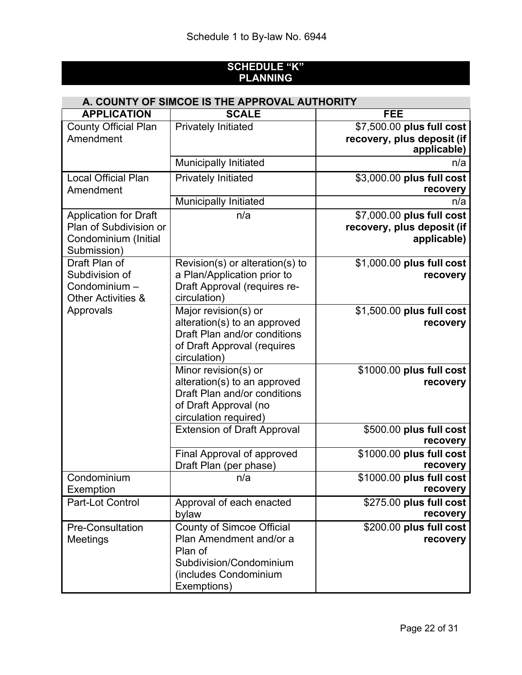## **SCHEDULE "K" PLANNING**

| A. COUNTY OF SIMCOE IS THE APPROVAL AUTHORITY                                                 |                                                                                                                                           |                                                                        |  |  |
|-----------------------------------------------------------------------------------------------|-------------------------------------------------------------------------------------------------------------------------------------------|------------------------------------------------------------------------|--|--|
| <b>APPLICATION</b>                                                                            | <b>SCALE</b>                                                                                                                              | <b>FEE</b>                                                             |  |  |
| <b>County Official Plan</b><br>Amendment                                                      | <b>Privately Initiated</b>                                                                                                                | \$7,500.00 plus full cost<br>recovery, plus deposit (if<br>applicable) |  |  |
|                                                                                               | <b>Municipally Initiated</b>                                                                                                              | n/a                                                                    |  |  |
| <b>Local Official Plan</b><br>Amendment                                                       | <b>Privately Initiated</b>                                                                                                                | \$3,000.00 plus full cost<br>recovery                                  |  |  |
|                                                                                               | <b>Municipally Initiated</b>                                                                                                              | n/a                                                                    |  |  |
| <b>Application for Draft</b><br>Plan of Subdivision or<br>Condominium (Initial<br>Submission) | n/a                                                                                                                                       | \$7,000.00 plus full cost<br>recovery, plus deposit (if<br>applicable) |  |  |
| Draft Plan of<br>Subdivision of<br>Condominium -<br><b>Other Activities &amp;</b>             | Revision(s) or alteration(s) to<br>a Plan/Application prior to<br>Draft Approval (requires re-<br>circulation)                            | \$1,000.00 plus full cost<br>recovery                                  |  |  |
| Approvals                                                                                     | Major revision(s) or<br>alteration(s) to an approved<br>Draft Plan and/or conditions<br>of Draft Approval (requires<br>circulation)       | \$1,500.00 plus full cost<br>recovery                                  |  |  |
|                                                                                               | Minor revision(s) or<br>alteration(s) to an approved<br>Draft Plan and/or conditions<br>of Draft Approval (no<br>circulation required)    | \$1000.00 plus full cost<br>recovery                                   |  |  |
|                                                                                               | <b>Extension of Draft Approval</b>                                                                                                        | \$500.00 plus full cost<br>recovery                                    |  |  |
|                                                                                               | <b>Final Approval of approved</b><br>Draft Plan (per phase)                                                                               | \$1000.00 plus full cost<br>recovery                                   |  |  |
| Condominium<br>Exemption                                                                      | n/a                                                                                                                                       | \$1000.00 plus full cost<br>recovery                                   |  |  |
| Part-Lot Control                                                                              | Approval of each enacted<br>bylaw                                                                                                         | \$275.00 plus full cost<br>recovery                                    |  |  |
| <b>Pre-Consultation</b><br>Meetings                                                           | <b>County of Simcoe Official</b><br>Plan Amendment and/or a<br>Plan of<br>Subdivision/Condominium<br>(includes Condominium<br>Exemptions) | \$200.00 plus full cost<br>recovery                                    |  |  |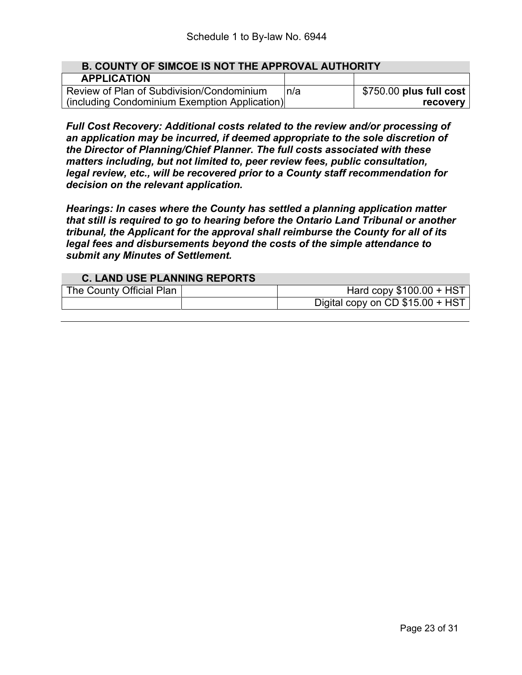| <b>B. COUNTY OF SIMCOE IS NOT THE APPROVAL AUTHORITY</b> |      |                          |  |
|----------------------------------------------------------|------|--------------------------|--|
| <b>APPLICATION</b>                                       |      |                          |  |
| Review of Plan of Subdivision/Condominium                | In/a | $$750.00$ plus full cost |  |
| (including Condominium Exemption Application)            |      | recovery                 |  |

*Full Cost Recovery: Additional costs related to the review and/or processing of an application may be incurred, if deemed appropriate to the sole discretion of the Director of Planning/Chief Planner. The full costs associated with these matters including, but not limited to, peer review fees, public consultation, legal review, etc., will be recovered prior to a County staff recommendation for decision on the relevant application.*

*Hearings: In cases where the County has settled a planning application matter that still is required to go to hearing before the Ontario Land Tribunal or another tribunal, the Applicant for the approval shall reimburse the County for all of its legal fees and disbursements beyond the costs of the simple attendance to submit any Minutes of Settlement.*

#### **C. LAND USE PLANNING REPORTS** The County Official Plan | The County Official Plan | Hard copy \$100.00 + HST Digital copy on CD \$15.00 + HST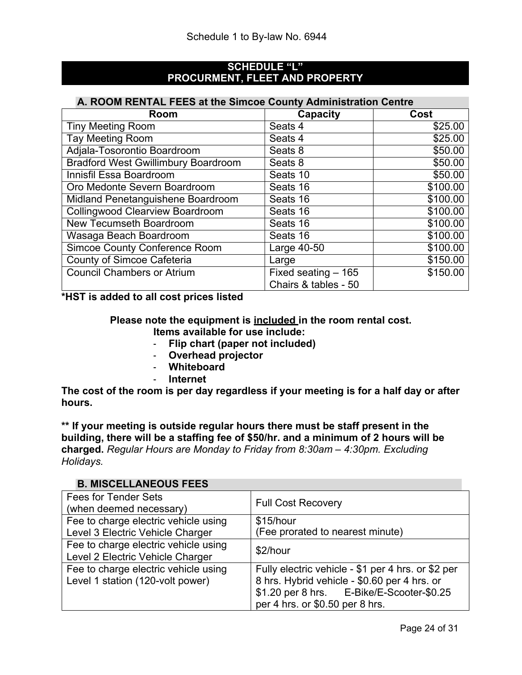#### **SCHEDULE "L" PROCURMENT, FLEET AND PROPERTY**

#### **A. ROOM RENTAL FEES at the Simcoe County Administration Centre**

| Room                                       | Capacity             | Cost     |
|--------------------------------------------|----------------------|----------|
| <b>Tiny Meeting Room</b>                   | Seats 4              | \$25.00  |
| <b>Tay Meeting Room</b>                    | Seats 4              | \$25.00  |
| Adjala-Tosorontio Boardroom                | Seats 8              | \$50.00  |
| <b>Bradford West Gwillimbury Boardroom</b> | Seats 8              | \$50.00  |
| Innisfil Essa Boardroom                    | Seats 10             | \$50.00  |
| Oro Medonte Severn Boardroom               | Seats 16             | \$100.00 |
| Midland Penetanguishene Boardroom          | Seats 16             | \$100.00 |
| <b>Collingwood Clearview Boardroom</b>     | Seats 16             | \$100.00 |
| <b>New Tecumseth Boardroom</b>             | Seats 16             | \$100.00 |
| Wasaga Beach Boardroom                     | Seats 16             | \$100.00 |
| <b>Simcoe County Conference Room</b>       | Large 40-50          | \$100.00 |
| <b>County of Simcoe Cafeteria</b>          | Large                | \$150.00 |
| <b>Council Chambers or Atrium</b>          | Fixed seating - 165  | \$150.00 |
|                                            | Chairs & tables - 50 |          |

**\*HST is added to all cost prices listed**

## **Please note the equipment is included in the room rental cost.**

- **Items available for use include:**
- **Flip chart (paper not included)**
- **Overhead projector**
- **Whiteboard**
- **Internet**

**The cost of the room is per day regardless if your meeting is for a half day or after hours.**

**\*\* If your meeting is outside regular hours there must be staff present in the building, there will be a staffing fee of \$50/hr. and a minimum of 2 hours will be charged.** *Regular Hours are Monday to Friday from 8:30am – 4:30pm. Excluding Holidays.*

## **B. MISCELLANEOUS FEES**

| <b>Fees for Tender Sets</b><br>(when deemed necessary)                   | <b>Full Cost Recovery</b>                                                                                                                                                          |
|--------------------------------------------------------------------------|------------------------------------------------------------------------------------------------------------------------------------------------------------------------------------|
| Fee to charge electric vehicle using<br>Level 3 Electric Vehicle Charger | \$15/hour<br>(Fee prorated to nearest minute)                                                                                                                                      |
| Fee to charge electric vehicle using<br>Level 2 Electric Vehicle Charger | \$2/hour                                                                                                                                                                           |
| Fee to charge electric vehicle using<br>Level 1 station (120-volt power) | Fully electric vehicle - \$1 per 4 hrs. or \$2 per<br>8 hrs. Hybrid vehicle - \$0.60 per 4 hrs. or<br>\$1.20 per 8 hrs. E-Bike/E-Scooter-\$0.25<br>per 4 hrs. or \$0.50 per 8 hrs. |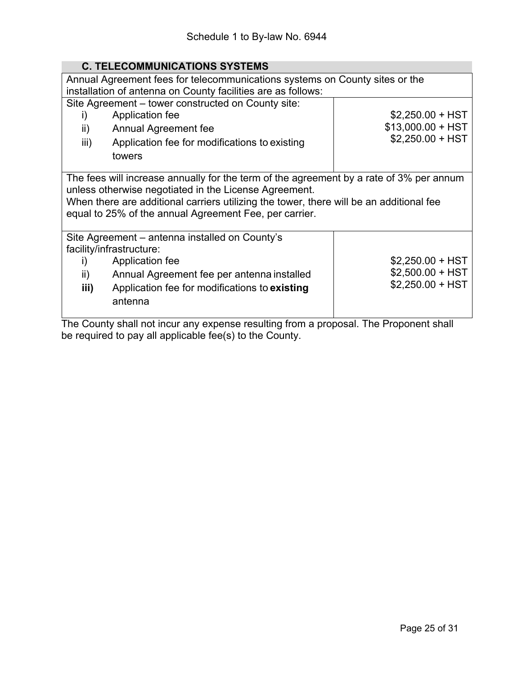## **C. TELECOMMUNICATIONS SYSTEMS**

| Annual Agreement fees for telecommunications systems on County sites or the<br>installation of antenna on County facilities are as follows: |                                                                                         |                    |  |  |
|---------------------------------------------------------------------------------------------------------------------------------------------|-----------------------------------------------------------------------------------------|--------------------|--|--|
|                                                                                                                                             | Site Agreement – tower constructed on County site:                                      |                    |  |  |
| i)                                                                                                                                          | Application fee                                                                         | $$2,250.00 + HST$  |  |  |
| ii)                                                                                                                                         | Annual Agreement fee                                                                    | $$13,000.00 + HST$ |  |  |
| iii)                                                                                                                                        | Application fee for modifications to existing                                           | $$2,250.00 + HST$  |  |  |
|                                                                                                                                             | towers                                                                                  |                    |  |  |
|                                                                                                                                             |                                                                                         |                    |  |  |
| The fees will increase annually for the term of the agreement by a rate of 3% per annum                                                     |                                                                                         |                    |  |  |
| unless otherwise negotiated in the License Agreement.                                                                                       |                                                                                         |                    |  |  |
|                                                                                                                                             | When there are additional carriers utilizing the tower, there will be an additional fee |                    |  |  |
|                                                                                                                                             | equal to 25% of the annual Agreement Fee, per carrier.                                  |                    |  |  |
|                                                                                                                                             |                                                                                         |                    |  |  |
|                                                                                                                                             | Site Agreement – antenna installed on County's<br>facility/infrastructure:              |                    |  |  |
| i)                                                                                                                                          | Application fee                                                                         | $$2,250.00 + HST$  |  |  |
|                                                                                                                                             |                                                                                         | $$2,500.00 + HST$  |  |  |
| ii)                                                                                                                                         | Annual Agreement fee per antenna installed                                              | $$2,250.00 + HST$  |  |  |
| iii)                                                                                                                                        | Application fee for modifications to existing                                           |                    |  |  |
|                                                                                                                                             | antenna                                                                                 |                    |  |  |
|                                                                                                                                             |                                                                                         |                    |  |  |

The County shall not incur any expense resulting from a proposal. The Proponent shall be required to pay all applicable fee(s) to the County.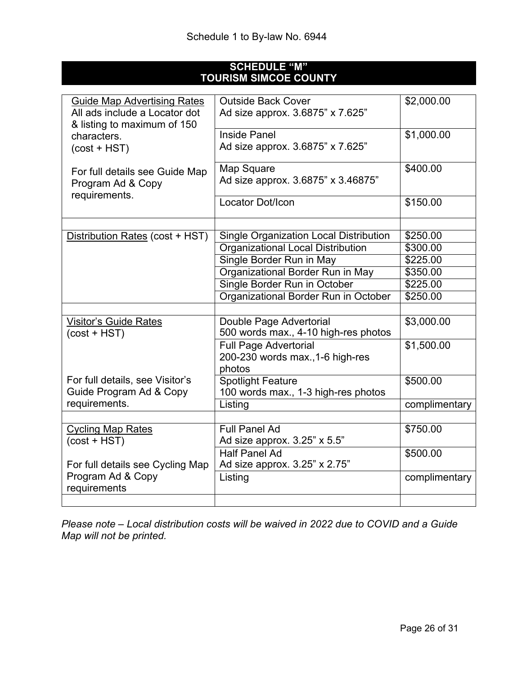## **SCHEDULE "M" TOURISM SIMCOE COUNTY**

| <b>Guide Map Advertising Rates</b><br>All ads include a Locator dot | <b>Outside Back Cover</b><br>Ad size approx. 3.6875" x 7.625" | \$2,000.00    |
|---------------------------------------------------------------------|---------------------------------------------------------------|---------------|
| & listing to maximum of 150                                         |                                                               |               |
| characters.                                                         | <b>Inside Panel</b>                                           | \$1,000.00    |
| $(cost + HST)$                                                      | Ad size approx. 3.6875" x 7.625"                              |               |
|                                                                     |                                                               |               |
| For full details see Guide Map                                      | Map Square                                                    | \$400.00      |
| Program Ad & Copy                                                   | Ad size approx. 3.6875" x 3.46875"                            |               |
| requirements.                                                       | Locator Dot/Icon                                              |               |
|                                                                     |                                                               | \$150.00      |
|                                                                     |                                                               |               |
| Distribution Rates (cost + HST)                                     | <b>Single Organization Local Distribution</b>                 | \$250.00      |
|                                                                     | <b>Organizational Local Distribution</b>                      | \$300.00      |
|                                                                     | Single Border Run in May                                      | \$225.00      |
|                                                                     | Organizational Border Run in May                              | \$350.00      |
|                                                                     | Single Border Run in October                                  | \$225.00      |
|                                                                     | Organizational Border Run in October                          | \$250.00      |
|                                                                     |                                                               |               |
| Visitor's Guide Rates                                               | Double Page Advertorial                                       | \$3,000.00    |
| $(cost + HST)$                                                      | 500 words max., 4-10 high-res photos                          |               |
|                                                                     | <b>Full Page Advertorial</b>                                  | \$1,500.00    |
|                                                                     | 200-230 words max., 1-6 high-res                              |               |
|                                                                     | photos                                                        |               |
| For full details, see Visitor's                                     | <b>Spotlight Feature</b>                                      | \$500.00      |
| Guide Program Ad & Copy                                             | 100 words max., 1-3 high-res photos                           |               |
| requirements.                                                       | Listing                                                       | complimentary |
|                                                                     |                                                               |               |
| <b>Cycling Map Rates</b>                                            | <b>Full Panel Ad</b>                                          | \$750.00      |
| $(cost + HST)$                                                      | Ad size approx. 3.25" x 5.5"                                  |               |
|                                                                     | <b>Half Panel Ad</b>                                          | \$500.00      |
| For full details see Cycling Map                                    | Ad size approx. 3.25" x 2.75"                                 |               |
| Program Ad & Copy                                                   | Listing                                                       | complimentary |
| requirements                                                        |                                                               |               |
|                                                                     |                                                               |               |

*Please note – Local distribution costs will be waived in 2022 due to COVID and a Guide Map will not be printed.*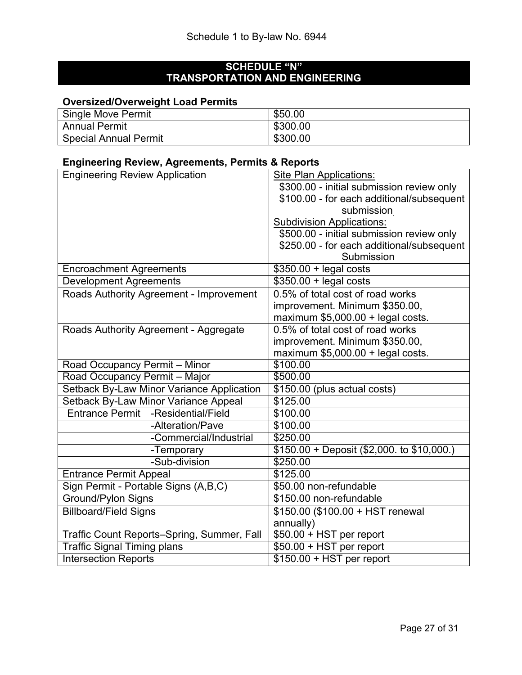## **SCHEDULE "N" TRANSPORTATION AND ENGINEERING**

## **Oversized/Overweight Load Permits**

| <b>Single Move Permit</b>    | \$50.00  |
|------------------------------|----------|
| <b>Annual Permit</b>         | \$300.00 |
| <b>Special Annual Permit</b> | \$300.00 |

## **Engineering Review, Agreements, Permits & Reports**

| <b>Engineering Review Application</b>        | <b>Site Plan Applications:</b>             |
|----------------------------------------------|--------------------------------------------|
|                                              | \$300.00 - initial submission review only  |
|                                              | \$100.00 - for each additional/subsequent  |
|                                              | submission                                 |
|                                              | <b>Subdivision Applications:</b>           |
|                                              | \$500.00 - initial submission review only  |
|                                              | \$250.00 - for each additional/subsequent  |
|                                              | Submission                                 |
| <b>Encroachment Agreements</b>               | $$350.00 +$ legal costs                    |
| <b>Development Agreements</b>                | $$350.00 +$ legal costs                    |
| Roads Authority Agreement - Improvement      | 0.5% of total cost of road works           |
|                                              | improvement. Minimum \$350.00,             |
|                                              | maximum \$5,000.00 + legal costs.          |
| Roads Authority Agreement - Aggregate        | 0.5% of total cost of road works           |
|                                              | improvement. Minimum \$350.00,             |
|                                              | maximum $$5,000.00 +$ legal costs.         |
| Road Occupancy Permit - Minor                | \$100.00                                   |
| Road Occupancy Permit - Major                | \$500.00                                   |
| Setback By-Law Minor Variance Application    | \$150.00 (plus actual costs)               |
| Setback By-Law Minor Variance Appeal         | \$125.00                                   |
| -Residential/Field<br><b>Entrance Permit</b> | \$100.00                                   |
| -Alteration/Pave                             | \$100.00                                   |
| -Commercial/Industrial                       | \$250.00                                   |
| -Temporary                                   | $$150.00 + Deposit ( $2,000. to $10,000.)$ |
| -Sub-division                                | \$250.00                                   |
| <b>Entrance Permit Appeal</b>                | \$125.00                                   |
| Sign Permit - Portable Signs (A,B,C)         | \$50.00 non-refundable                     |
| <b>Ground/Pylon Signs</b>                    | \$150.00 non-refundable                    |
| <b>Billboard/Field Signs</b>                 | \$150.00 (\$100.00 + HST renewal           |
|                                              | annually)                                  |
| Traffic Count Reports-Spring, Summer, Fall   | $$50.00 + HST$ per report                  |
| <b>Traffic Signal Timing plans</b>           | \$50.00 + HST per report                   |
| <b>Intersection Reports</b>                  | $$150.00 + HST$ per report                 |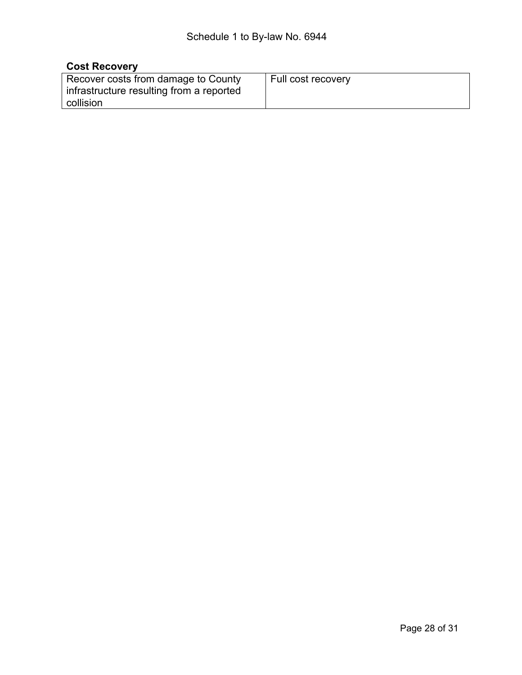## **Cost Recovery**

| Recover costs from damage to County<br>infrastructure resulting from a reported<br>collision | Full cost recovery |
|----------------------------------------------------------------------------------------------|--------------------|
|----------------------------------------------------------------------------------------------|--------------------|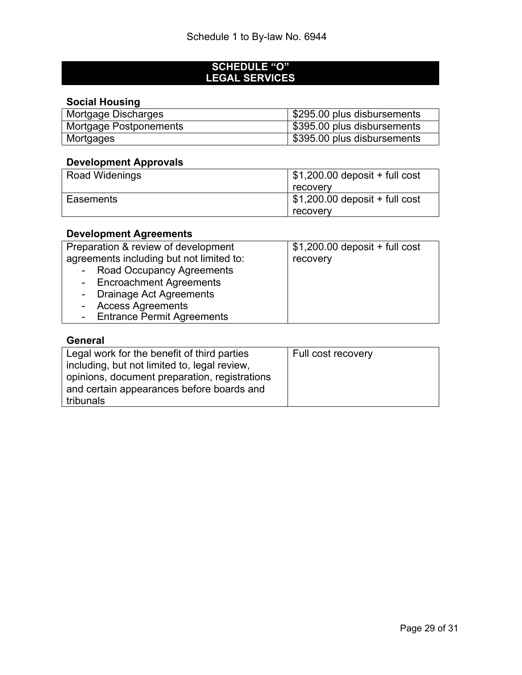#### **SCHEDULE "O" LEGAL SERVICES**

## **Social Housing**

| Mortgage Discharges    | \$295.00 plus disbursements |
|------------------------|-----------------------------|
| Mortgage Postponements | \$395.00 plus disbursements |
| Mortgages              | \$395.00 plus disbursements |

## **Development Approvals**

| <b>Road Widenings</b> | $\frac{1}{2}$ \$1,200.00 deposit + full cost |  |  |
|-----------------------|----------------------------------------------|--|--|
|                       | recovery                                     |  |  |
| Easements             | $$1,200.00$ deposit + full cost              |  |  |
|                       | recovery                                     |  |  |

## **Development Agreements**

| Preparation & review of development      | $$1,200.00$ deposit + full cost |
|------------------------------------------|---------------------------------|
| agreements including but not limited to: | recovery                        |
| - Road Occupancy Agreements              |                                 |
| - Encroachment Agreements                |                                 |
| - Drainage Act Agreements                |                                 |
| - Access Agreements                      |                                 |
| - Entrance Permit Agreements             |                                 |

## **General**

| Legal work for the benefit of third parties   | Full cost recovery |
|-----------------------------------------------|--------------------|
| including, but not limited to, legal review,  |                    |
| opinions, document preparation, registrations |                    |
| and certain appearances before boards and     |                    |
| tribunals                                     |                    |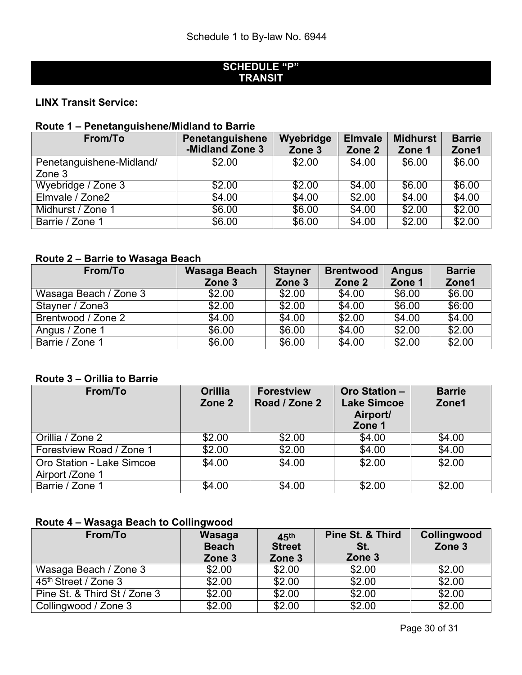## **SCHEDULE "P" TRANSIT**

## **LINX Transit Service:**

## **Route 1 – Penetanguishene/Midland to Barrie**

| From/To                  | Penetanguishene | Wyebridge | <b>Elmvale</b> | <b>Midhurst</b> | <b>Barrie</b>  |
|--------------------------|-----------------|-----------|----------------|-----------------|----------------|
|                          | -Midland Zone 3 | Zone 3    | Zone 2         | Zone 1          | Zone1          |
| Penetanguishene-Midland/ | \$2.00          | \$2.00    | \$4.00         | \$6.00          | \$6.00         |
| Zone 3                   |                 |           |                |                 |                |
| Wyebridge / Zone 3       | \$2.00          | \$2.00    | \$4.00         | \$6.00          | \$6.00         |
| Elmvale / Zone2          | \$4.00          | \$4.00    | \$2.00         | \$4.00          | \$4.00         |
| Midhurst / Zone 1        | \$6.00          | \$6.00    | \$4.00         | \$2.00          | $\sqrt{$2.00}$ |
| Barrie / Zone 1          | \$6.00          | \$6.00    | \$4.00         | \$2.00          | \$2.00         |

## **Route 2 – Barrie to Wasaga Beach**

| From/To               | Wasaga Beach | <b>Stayner</b> | <b>Brentwood</b> | <b>Angus</b> | <b>Barrie</b> |
|-----------------------|--------------|----------------|------------------|--------------|---------------|
|                       | Zone 3       | Zone 3         | Zone 2           | Zone 1       | Zone1         |
| Wasaga Beach / Zone 3 | \$2.00       | \$2.00         | \$4.00           | \$6.00       | \$6.00        |
| Stayner / Zone3       | \$2.00       | \$2.00         | \$4.00           | \$6.00       | \$6:00        |
| Brentwood / Zone 2    | \$4.00       | \$4.00         | \$2.00           | \$4.00       | \$4.00        |
| Angus / Zone 1        | \$6.00       | \$6.00         | \$4.00           | \$2.00       | \$2.00        |
| Barrie / Zone 1       | \$6.00       | \$6.00         | \$4.00           | \$2.00       | \$2.00        |

## **Route 3 – Orillia to Barrie**

| From/To                                             | <b>Orillia</b><br>Zone 2 | <b>Forestview</b><br>Road / Zone 2 | <b>Oro Station -</b><br><b>Lake Simcoe</b><br>Airport/<br>Zone 1 | <b>Barrie</b><br>Zone1 |
|-----------------------------------------------------|--------------------------|------------------------------------|------------------------------------------------------------------|------------------------|
| Orillia / Zone 2                                    | \$2.00                   | \$2.00                             | \$4.00                                                           | \$4.00                 |
| Forestview Road / Zone 1                            | \$2.00                   | \$2.00                             | \$4.00                                                           | \$4.00                 |
| <b>Oro Station - Lake Simcoe</b><br>Airport /Zone 1 | \$4.00                   | \$4.00                             | \$2.00                                                           | \$2.00                 |
| Barrie / Zone 1                                     | \$4.00                   | \$4.00                             | \$2.00                                                           | \$2.00                 |

## **Route 4 – Wasaga Beach to Collingwood**

| From/To                      | Wasaga<br><b>Beach</b><br>Zone 3 | 45 <sup>th</sup><br><b>Street</b><br>Zone 3 | Pine St. & Third<br>St.<br>Zone 3 | <b>Collingwood</b><br>Zone 3 |
|------------------------------|----------------------------------|---------------------------------------------|-----------------------------------|------------------------------|
| Wasaga Beach / Zone 3        | \$2.00                           | \$2.00                                      | \$2.00                            | \$2.00                       |
| 45th Street / Zone 3         | \$2.00                           | \$2.00                                      | \$2.00                            | \$2.00                       |
| Pine St. & Third St / Zone 3 | \$2.00                           | \$2.00                                      | \$2.00                            | \$2.00                       |
| Collingwood / Zone 3         | \$2.00                           | \$2.00                                      | \$2.00                            | \$2.00                       |